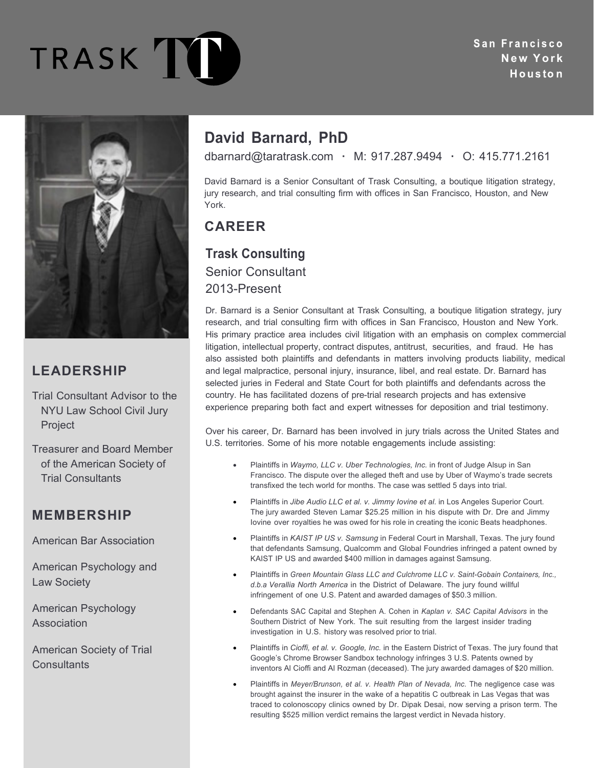TRASK T

San Francisco **N ew Yor k**Houston



## **LEADERSHIP**

Trial Consultant Advisor to the NYU Law School Civil Jury Project

Treasurer and Board Member of the American Society of Trial Consultants

### **MEMBERSHIP**

American Bar Association

American Psychology and Law Society

American Psychology Association

American Society of Trial **Consultants** 

# **David Barnard, PhD**

dbarnard@taratrask.com **·** M: 917.287.9494 **·** O: 415.771.2161

David Barnard is a Senior Consultant of Trask Consulting, a boutique litigation strategy, jury research, and trial consulting firm with offices in San Francisco, Houston, and New York.

## **CAREER**

#### **Trask Consulting**

Senior Consultant 2013-Present

Dr. Barnard is a Senior Consultant at Trask Consulting, a boutique litigation strategy, jury research, and trial consulting firm with offices in San Francisco, Houston and New York. His primary practice area includes civil litigation with an emphasis on complex commercial litigation, intellectual property, contract disputes, antitrust, securities, and fraud. He has also assisted both plaintiffs and defendants in matters involving products liability, medical and legal malpractice, personal injury, insurance, libel, and real estate. Dr. Barnard has selected juries in Federal and State Court for both plaintiffs and defendants across the country. He has facilitated dozens of pre-trial research projects and has extensive experience preparing both fact and expert witnesses for deposition and trial testimony.

Over his career, Dr. Barnard has been involved in jury trials across the United States and U.S. territories. Some of his more notable engagements include assisting:

- Plaintiffs in *Waymo, LLC v. Uber Technologies, Inc.* in front of Judge Alsup in San Francisco. The dispute over the alleged theft and use by Uber of Waymo's trade secrets transfixed the tech world for months. The case was settled 5 days into trial.
- Plaintiffs in *Jibe Audio LLC et al. v. Jimmy Iovine et al.* in Los Angeles Superior Court. The jury awarded Steven Lamar \$25.25 million in his dispute with Dr. Dre and Jimmy Iovine over royalties he was owed for his role in creating the iconic Beats headphones.
- Plaintiffs in *KAIST IP US v. Samsung* in Federal Court in Marshall, Texas. The jury found that defendants Samsung, Qualcomm and Global Foundries infringed a patent owned by KAIST IP US and awarded \$400 million in damages against Samsung.
- Plaintiffs in *Green Mountain Glass LLC and Culchrome LLC v. Saint-Gobain Containers, Inc., d.b.a Verallia North America* in the District of Delaware. The jury found willful infringement of one U.S. Patent and awarded damages of \$50.3 million.
- Defendants SAC Capital and Stephen A. Cohen in *Kaplan v. SAC Capital Advisors* in the Southern District of New York. The suit resulting from the largest insider trading investigation in U.S. history was resolved prior to trial.
- Plaintiffs in *Cioffi, et al. v. Google, Inc.* in the Eastern District of Texas. The jury found that Google's Chrome Browser Sandbox technology infringes 3 U.S. Patents owned by inventors Al Cioffi and Al Rozman (deceased). The jury awarded damages of \$20 million.
- Plaintiffs in *Meyer/Brunson, et al. v. Health Plan of Nevada, Inc.* The negligence case was brought against the insurer in the wake of a hepatitis C outbreak in Las Vegas that was traced to colonoscopy clinics owned by Dr. Dipak Desai, now serving a prison term. The resulting \$525 million verdict remains the largest verdict in Nevada history.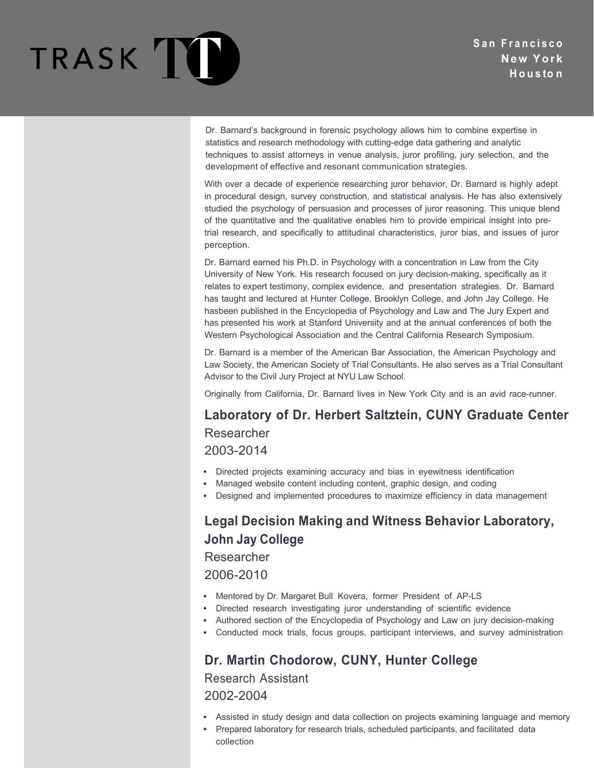

Dr. Barnard's background in forensic psychology allows him to combine expertise in statistics and research methodology with cutting-edge data gathering and analytic techniques to assist attorneys in venue analysis, juror profiling, jury selection, and the development of effective and resonant communication strategies.

With over a decade of experience researching juror behavior, Dr. Barnard is highly adept in procedural design, survey construction, and statistical analysis. He has also extensively studied the psychology of persuasion and processes of juror reasoning. This unique blend of the quantitative and the qualitative enables him to provide empirical insight into pretrial research, and specifically to attitudinal characteristics, juror bias, and issues of juror perception.

Dr. Barnard earned his Ph.D. in Psychology with a concentration in Law from the City University of New York. His research focused on jury decision-making, specifically as it relates to expert testimony, complex evidence, and presentation strategies. Dr. Barnard has taught and lectured at Hunter College, Brooklyn College, and John Jay College. He hasbeen published in the Encyclopedia of Psychology and Law and The Jury Expert and has presented his work at Stanford University and at the annual conferences of both the Western Psychological Association and the Central California Research Symposium.

Dr. Barnard is a member of the American Bar Association, the American Psychology and Law Society, the American Society of Trial Consultants. He also serves as a Trial Consultant Advisor to the Civil Jury Project at NYU Law School.

Originally from California, Dr. Barnard lives in New York City and is an avid race-runner.

**Laboratory of Dr. Herbert Saltztein, CUNY Graduate Center** Researcher 2003-2014

- Directed projects examining accuracy and bias in eyewitness identification
- Managed website content including content, graphic design, and coding
- Designed and implemented procedures to maximize efficiency in data management

## **Legal Decision Making and Witness Behavior Laboratory, John Jay College**

Researcher

2006-2010

- Mentored by Dr. Margaret Bull Kovera, former President of AP-LS
- $\bullet$ Directed research investigating juror understanding of scientific evidence
- $\bullet$  . Authored section of the Encyclopedia of Psychology and Law on jury decision-making
- Conducted mock trials, focus groups, participant interviews, and survey administration

### **Dr. Martin Chodorow, CUNY, Hunter College**

Research Assistant

2002-2004

- Assisted in study design and data collection on projects examining language and memory
- Prepared laboratory for research trials, scheduled participants, and facilitated data collection